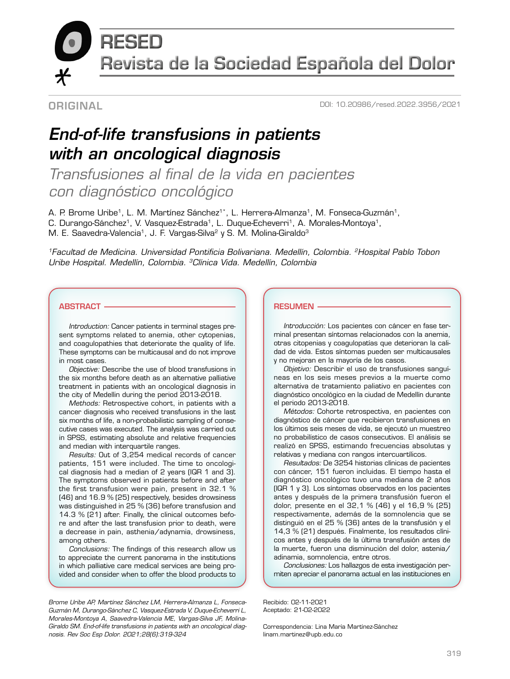**RESED** 

Revista de la Sociedad Española del Dolor

## **ORIGINAL**

DOI: 10.20986/resed.2022.3956/2021

# *End-of-life transfusions in patients with an oncological diagnosis*

*Transfusiones al final de la vida en pacientes con diagnóstico oncológico* 

A. P. Brome Uribe<sup>1</sup>, L. M. Martínez Sánchez<sup>1\*</sup>, L. Herrera-Almanza<sup>1</sup>, M. Fonseca-Guzmán<sup>1</sup>,

C. Durango-Sánchez<sup>1</sup>, V. Vasquez-Estrada<sup>1</sup>, L. Duque-Echeverri<sup>1</sup>, A. Morales-Montoya<sup>1</sup>,

M. E. Saavedra-Valencia<sup>1</sup>, J. F. Vargas-Silva<sup>2</sup> y S. M. Molina-Giraldo<sup>3</sup>

*1Facultad de Medicina. Universidad Pontificia Bolivariana. Medellín, Colombia. 2Hospital Pablo Tobon Uribe Hospital. Medellín, Colombia. 3Clínica Vida. Medellín, Colombia*

### **ABSTRACT -**

*Introduction:* Cancer patients in terminal stages present symptoms related to anemia, other cytopenias, and coagulopathies that deteriorate the quality of life. These symptoms can be multicausal and do not improve in most cases.

*Objective:* Describe the use of blood transfusions in the six months before death as an alternative palliative treatment in patients with an oncological diagnosis in the city of Medellin during the period 2013-2018.

*Methods:* Retrospective cohort, in patients with a cancer diagnosis who received transfusions in the last six months of life, a non-probabilistic sampling of consecutive cases was executed. The analysis was carried out in SPSS, estimating absolute and relative frequencies and median with interquartile ranges.

*Results:* Out of 3,254 medical records of cancer patients, 151 were included. The time to oncological diagnosis had a median of 2 years (IQR 1 and 3). The symptoms observed in patients before and after the first transfusion were pain, present in 32.1 % (46) and 16.9 % (25) respectively, besides drowsiness was distinguished in 25 % (36) before transfusion and 14.3 % (21) after. Finally, the clinical outcomes before and after the last transfusion prior to death, were a decrease in pain, asthenia/adynamia, drowsiness, among others.

*Conclusions:* The findings of this research allow us to appreciate the current panorama in the institutions in which palliative care medical services are being provided and consider when to offer the blood products to

*Brome Uribe AP, Martínez Sánchez LM, Herrera-Almanza L, Fonseca-Guzmán M, Durango-Sánchez C, Vasquez-Estrada V, Duque-Echeverri L, Morales-Montoya A, Saavedra-Valencia ME, Vargas-Silva JF, Molina-Giraldo SM. End-of-life transfusions in patients with an oncological diagnosis. Rev Soc Esp Dolor. 2021;28(6):319-324*

#### RESUMEN

*Introducción:* Los pacientes con cáncer en fase terminal presentan síntomas relacionados con la anemia, otras citopenias y coagulopatías que deterioran la calidad de vida. Estos síntomas pueden ser multicausales y no mejoran en la mayoría de los casos.

*Objetivo:* Describir el uso de transfusiones sanguíneas en los seis meses previos a la muerte como alternativa de tratamiento paliativo en pacientes con diagnóstico oncológico en la ciudad de Medellín durante el periodo 2013-2018.

*Métodos:* Cohorte retrospectiva, en pacientes con diagnóstico de cáncer que recibieron transfusiones en los últimos seis meses de vida, se ejecutó un muestreo no probabilístico de casos consecutivos. El análisis se realizó en SPSS, estimando frecuencias absolutas y relativas y mediana con rangos intercuartílicos.

*Resultados:* De 3254 historias clínicas de pacientes con cáncer, 151 fueron incluidas. El tiempo hasta el diagnóstico oncológico tuvo una mediana de 2 años (IQR 1 y 3). Los síntomas observados en los pacientes antes y después de la primera transfusión fueron el dolor, presente en el 32,1 % (46) y el 16,9 % (25) respectivamente, además de la somnolencia que se distinguió en el 25 % (36) antes de la transfusión y el 14,3 % (21) después. Finalmente, los resultados clínicos antes y después de la última transfusión antes de la muerte, fueron una disminución del dolor, astenia/ adinamia, somnolencia, entre otros.

*Conclusiones:* Los hallazgos de esta investigación permiten apreciar el panorama actual en las instituciones en

Recibido: 02-11-2021 Aceptado: 21-02-2022

Correspondencia: Lina María Martínez-Sánchez linam.martinez@upb.edu.co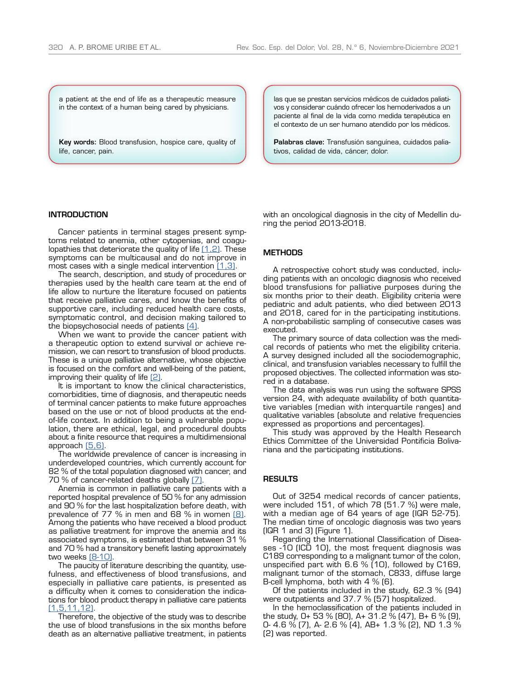a patient at the end of life as a therapeutic measure in the context of a human being cared by physicians.

Key words: Blood transfusion, hospice care, quality of life, cancer, pain.

#### **INTRODUCTION**

Cancer patients in terminal stages present symptoms related to anemia, other cytopenias, and coagulopathies that deteriorate the quality of life  $[1,2]$ . These symptoms can be multicausal and do not improve in most cases with a single medical intervention  $[1,3]$ .

The search, description, and study of procedures or therapies used by the health care team at the end of life allow to nurture the literature focused on patients that receive palliative cares, and know the benefits of supportive care, including reduced health care costs, symptomatic control, and decision making tailored to the biopsychosocial needs of patients [4].

When we want to provide the cancer patient with a therapeutic option to extend survival or achieve remission, we can resort to transfusion of blood products. These is a unique palliative alternative, whose objective is focused on the comfort and well-being of the patient, improving their quality of life [2].

It is important to know the clinical characteristics, comorbidities, time of diagnosis, and therapeutic needs of terminal cancer patients to make future approaches based on the use or not of blood products at the endof-life context. In addition to being a vulnerable population, there are ethical, legal, and procedural doubts about a finite resource that requires a multidimensional approach [\(5,6\).](#page-5-3)

The worldwide prevalence of cancer is increasing in underdeveloped countries, which currently account for 82 % of the total population diagnosed with cancer, and 70 % of cancer-related deaths globally [\(7\).](#page-5-4)

Anemia is common in palliative care patients with a reported hospital prevalence of 50 % for any admission and 90 % for the last hospitalization before death, with prevalence of 77 % in men and 68 % in women  $[8]$ . Among the patients who have received a blood product as palliative treatment for improve the anemia and its associated symptoms, is estimated that between 31 % and 70 % had a transitory benefit lasting approximately two weeks [\(8-10\).](#page-5-5)

The paucity of literature describing the quantity, usefulness, and effectiveness of blood transfusions, and especially in palliative care patients, is presented as a difficulty when it comes to consideration the indications for blood product therapy in palliative care patients [\(1,5,11,12\).](#page-5-0)

Therefore, the objective of the study was to describe the use of blood transfusions in the six months before death as an alternative palliative treatment, in patients

las que se prestan servicios médicos de cuidados paliativos y considerar cuándo ofrecer los hemoderivados a un paciente al final de la vida como medida terapéutica en el contexto de un ser humano atendido por los médicos.

Palabras clave: Transfusión sanguínea, cuidados paliativos, calidad de vida, cáncer, dolor.

with an oncological diagnosis in the city of Medellin during the period 2013-2018.

#### **METHODS**

A retrospective cohort study was conducted, including patients with an oncologic diagnosis who received blood transfusions for palliative purposes during the six months prior to their death. Eligibility criteria were pediatric and adult patients, who died between 2013 and 2018, cared for in the participating institutions. A non-probabilistic sampling of consecutive cases was executed.

The primary source of data collection was the medical records of patients who met the eligibility criteria. A survey designed included all the sociodemographic, clinical, and transfusion variables necessary to fulfill the proposed objectives. The collected information was stored in a database.

The data analysis was run using the software SPSS version 24, with adequate availability of both quantitative variables (median with interquartile ranges) and qualitative variables (absolute and relative frequencies expressed as proportions and percentages).

This study was approved by the Health Research Ethics Committee of the Universidad Pontificia Bolivariana and the participating institutions.

#### RESULTS

Out of 3254 medical records of cancer patients, were included 151, of which 78 (51.7 %) were male, with a median age of 64 years of age (IQR 52-75). The median time of oncologic diagnosis was two years (IQR 1 and 3) (Figure 1).

Regarding the International Classification of Diseases -10 (ICD 10), the most frequent diagnosis was C189 corresponding to a malignant tumor of the colon, unspecified part with 6.6 % (10), followed by C169, malignant tumor of the stomach, C833, diffuse large B-cell lymphoma, both with 4 % (6).

Of the patients included in the study, 62.3 % (94) were outpatients and 37.7 % (57) hospitalized.

In the hemoclassification of the patients included in the study, O+ 53 % (80), A+ 31.2 % (47), B+ 6 % (9), O- 4.6 % (7), A- 2.6 % (4), AB+ 1.3 % (2), ND 1.3 % (2) was reported.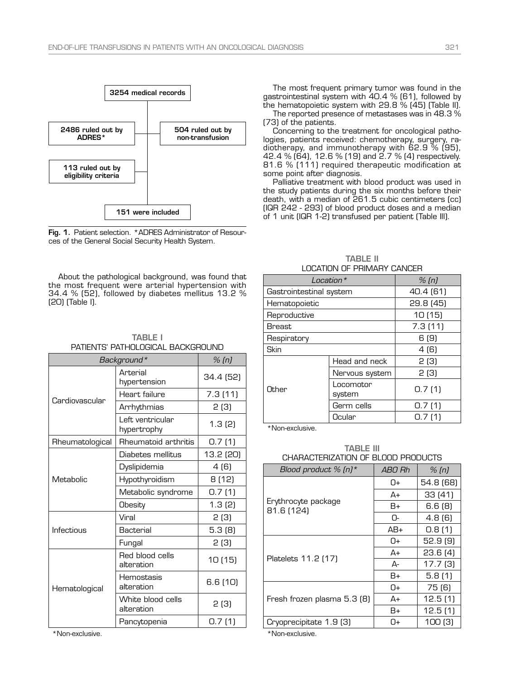



About the pathological background, was found that the most frequent were arterial hypertension with 34.4 % (52), followed by diabetes mellitus 13.2 % (20) (Table I).

| <b>TABLE I</b>                    |
|-----------------------------------|
| PATIENTS' PATHOLOGICAL BACKGROUND |

| Background*     | % (n)                           |           |  |  |  |
|-----------------|---------------------------------|-----------|--|--|--|
| Cardiovascular  | Arterial<br>hypertension        | 34.4 (52) |  |  |  |
|                 | Heart failure                   | 7.3(11)   |  |  |  |
|                 | Arrhythmias                     | 2 (3)     |  |  |  |
|                 | Left ventricular<br>hypertrophy | 1.3(2)    |  |  |  |
| Rheumatological | Rheumatoid arthritis            | 0.7(1)    |  |  |  |
|                 | Diabetes mellitus               | 13.2 (20) |  |  |  |
|                 | Dyslipidemia                    | 4 (6)     |  |  |  |
| Metabolic       | Hypothyroidism                  | 8 (12)    |  |  |  |
|                 | Metabolic syndrome              | 0.7(1)    |  |  |  |
|                 | Obesity                         | 1.3(2)    |  |  |  |
|                 | Viral                           | 2 (3)     |  |  |  |
| Infectious      | Bacterial                       | 5.3(8)    |  |  |  |
|                 | Fungal                          | 2(3)      |  |  |  |
| Hematological   | Red blood cells<br>alteration   | 10 (15)   |  |  |  |
|                 | Hemostasis<br>alteration        | 6.6(10)   |  |  |  |
|                 | White blood cells<br>alteration | 2(3)      |  |  |  |
|                 | Pancytopenia                    | 0.7(1)    |  |  |  |

\*Non-exclusive.

The most frequent primary tumor was found in the gastrointestinal system with 40.4 % (61), followed by the hematopoietic system with 29.8 % (45) (Table II).

The reported presence of metastases was in 48.3 % (73) of the patients.

Concerning to the treatment for oncological pathologies, patients received: chemotherapy, surgery, radiotherapy, and immunotherapy with 62.9 % (95), 42.4 % (64), 12.6 % (19) and 2.7 % (4) respectively. 81.6 % (111) required therapeutic modification at some point after diagnosis.

Palliative treatment with blood product was used in the study patients during the six months before their death, with a median of 261.5 cubic centimeters (cc) (IQR 242 - 293) of blood product doses and a median of 1 unit (IQR 1-2) transfused per patient (Table III).

| LUCATION OF PRIIVIART CANCER |                     |           |  |  |  |
|------------------------------|---------------------|-----------|--|--|--|
| Location *                   | $%$ (n)             |           |  |  |  |
| Gastrointestinal system      |                     | 40.4 (61) |  |  |  |
| Hematopoietic                | 29.8 (45)           |           |  |  |  |
| Reproductive                 | 10(15)              |           |  |  |  |
| Breast                       | 7.3(11)             |           |  |  |  |
| Respiratory                  |                     |           |  |  |  |
| Skin                         | 4 (6)               |           |  |  |  |
| Other                        | Head and neck       | 2 (3)     |  |  |  |
|                              | Nervous system      | 2 (3)     |  |  |  |
|                              | Locomotor<br>system | 0.7(1)    |  |  |  |
|                              | Germ cells          | 0.7(1)    |  |  |  |
|                              | Ocular              | 0.7(1)    |  |  |  |

TABLE II LOCATION OF PRIMARY CANCER

\*Non-exclusive.

TABLE III CHARACTERIZATION OF BLOOD PRODUCTS

| Blood product % $(n)$ *           | ABO Rh | $%$ (n)             |
|-----------------------------------|--------|---------------------|
|                                   | N+     | 54.8 (68)           |
| Erythrocyte package<br>81.6 (124) | A+     | 33 (41)             |
|                                   | B+     | 6.6 (8)             |
|                                   | በ-     | 4.8 (6)             |
|                                   | AB+    | 0.8(1)              |
|                                   | N+     | 52.9(9)             |
| Platelets 11.2 (17)               | A+     | 23.6(4)             |
|                                   | А-     | 17.7 <sub>(3)</sub> |
|                                   | B+     | 5.8(1)              |
|                                   | O+     | 75 (6)              |
| Fresh frozen plasma 5.3 (8)       | A+     | 12.5(1)             |
|                                   | B+     | 12.5(1)             |
| Cryoprecipitate 1.9 (3)           | Π+     | 100(3)              |

\*Non-exclusive.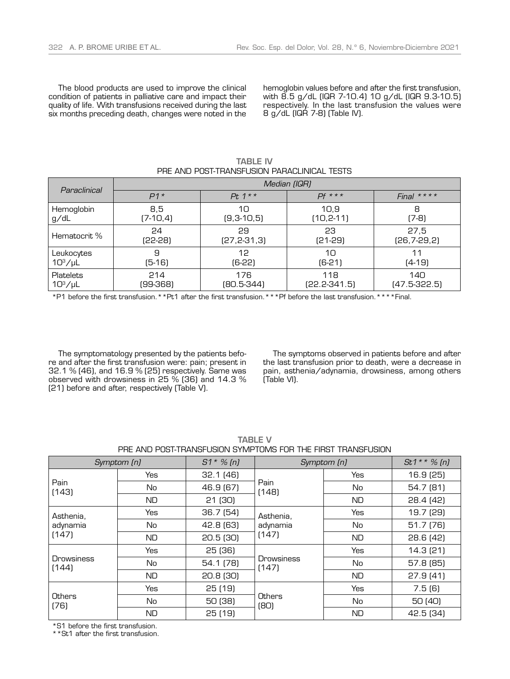The blood products are used to improve the clinical condition of patients in palliative care and impact their quality of life. With transfusions received during the last six months preceding death, changes were noted in the

hemoglobin values before and after the first transfusion, with 8.5 g/dL (IQR 7-10.4) 10 g/dL (IQR 9.3-10.5) respectively. In the last transfusion the values were 8 g/dL (IQR 7-8) (Table IV).

| Paraclinical     | Median (IQR)       |                 |                |                   |  |
|------------------|--------------------|-----------------|----------------|-------------------|--|
|                  | $Pt. 1**$<br>$P1*$ |                 | $Pf$ ***       | Final $***$       |  |
| Hemoglobin       | 8,5                | 10              | 10.9           | 8                 |  |
| g/dL             | $(7-10,4)$         | $(9,3-10,5)$    | $(10, 2 - 11)$ | $(7-8)$           |  |
| Hematocrit %     | 24                 | 29              | 23             | 27,5              |  |
|                  | (22-28)            | $[27, 2-31, 3]$ | (21-29)        | $(26, 7 - 29, 2)$ |  |
| Leukocytes       | 9                  | 12              | 10             | 11                |  |
| $10^3/\mu L$     | (5-16)             | (6-22)          | $(6-21)$       | $(4-19)$          |  |
| <b>Platelets</b> | 214                | 176             | 118            | 140               |  |
| $10^3/\mu L$     | (99-368)           | (80.5-344)      | $[22.2-341.5]$ | $(47.5-322.5)$    |  |

TABLE IV PRE AND POST-TRANSFUSION PARACLINICAL TESTS

\*P1 before the first transfusion.\*\*Pt1 after the first transfusion.\*\*\*Pf before the last transfusion.\*\*\*\*Final.

The symptomatology presented by the patients before and after the first transfusion were: pain; present in 32.1 % (46), and 16.9 % (25) respectively. Same was observed with drowsiness in 25 % (36) and 14.3 % (21) before and after, respectively (Table V).

The symptoms observed in patients before and after the last transfusion prior to death, were a decrease in pain, asthenia/adynamia, drowsiness, among others (Table VI).

| Symptom (n)                    |            | $S1 * \% [n]$ | Symptom (n)                    |            | $St1**\%$ (n) |
|--------------------------------|------------|---------------|--------------------------------|------------|---------------|
| Pain<br>(143)                  | Yes        | 32.1(46)      | Pain<br>(148)                  | <b>Yes</b> | 16.9 (25)     |
|                                | No         | 46.9 (67)     |                                | No         | 54.7 (81)     |
|                                | <b>ND</b>  | 21(30)        |                                | <b>ND</b>  | 28.4 (42)     |
| Asthenia,<br>adynamia<br>(147) | <b>Yes</b> | 36.7(54)      | Asthenia,<br>adynamia<br>(147) | <b>Yes</b> | 19.7 (29)     |
|                                | No         | 42.8 (63)     |                                | No         | 51.7(76)      |
|                                | <b>ND</b>  | 20.5(30)      |                                | ND         | 28.6(42)      |
| <b>Drowsiness</b><br>(144)     | Yes        | 25(36)        | <b>Drowsiness</b><br>(147)     | <b>Yes</b> | 14.3 (21)     |
|                                | No         | 54.1 (78)     |                                | No         | 57.8 (85)     |
|                                | ND.        | 20.8(30)      |                                | <b>ND</b>  | 27.9(41)      |
| Others<br>(76)                 | Yes        | 25(19)        | Others<br>[80]                 | Yes        | 7.5(6)        |
|                                | No         | 50 (38)       |                                | No         | 50 (40)       |
|                                | <b>ND</b>  | 25(19)        |                                | ND         | 42.5 (34)     |

TABLE V PRE AND POST-TRANSFUSION SYMPTOMS FOR THE FIRST TRANSFUSION

\*S1 before the first transfusion.

\*\*St1 after the first transfusion.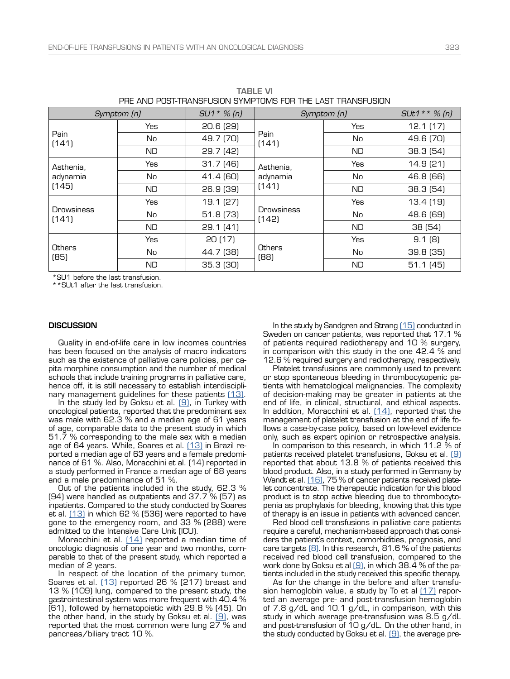| PRE AND PUSI-IRANSFUSIUN SYMPTUMS FUR THE LAST TRANSFUSIUN. |            |                |                                |            |                |
|-------------------------------------------------------------|------------|----------------|--------------------------------|------------|----------------|
| Symptom [n]                                                 |            | $SU1 * \% (n)$ | Symptom [n]                    |            | $SUt1**$ % (n) |
| Pain<br>(141)                                               | <b>Yes</b> | 20.6 (29)      | Pain<br>(141)                  | <b>Yes</b> | 12.1(17)       |
|                                                             | No         | 49.7 (70)      |                                | No         | 49.6 (70)      |
|                                                             | <b>ND</b>  | 29.7 (42)      |                                | ND.        | 38.3 (54)      |
| Asthenia,<br>adynamia<br>(145)                              | Yes        | 31.7(46)       | Asthenia,<br>adynamia<br>(141) | Yes        | 14.9 (21)      |
|                                                             | No         | 41.4 (60)      |                                | No         | 46.8 (66)      |
|                                                             | <b>ND</b>  | 26.9 (39)      |                                | <b>ND</b>  | 38.3 (54)      |
| <b>Drowsiness</b><br>(141)                                  | <b>Yes</b> | 19.1 (27)      | Drowsiness<br>(142)            | <b>Yes</b> | 13.4 (19)      |
|                                                             | No         | 51.8 (73)      |                                | No         | 48.6 (69)      |
|                                                             | <b>ND</b>  | 29.1 (41)      |                                | ND.        | 38 (54)        |
| Others<br>(85)                                              | <b>Yes</b> | 20(17)         | Others<br>(88)                 | Yes        | 9.1(8)         |
|                                                             | No         | 44.7 (38)      |                                | No         | 39.8(35)       |
|                                                             | <b>ND</b>  | 35.3 (30)      |                                | <b>ND</b>  | 51.1(45)       |

TABLE VI PRE AND POST-TRANSFUSION SYMPTOMS FOR THE LAST TRANSFUSION

\*SU1 before the last transfusion.

\*\*SUt1 after the last transfusion.

#### **DISCUSSION**

Quality in end-of-life care in low incomes countries has been focused on the analysis of macro indicators such as the existence of palliative care policies, per capita morphine consumption and the number of medical schools that include training programs in palliative care, hence off, it is still necessary to establish interdisciplinary management guidelines for these patients [13].

In the study led by Goksu et al.  $[9]$ , in Turkey with oncological patients, reported that the predominant sex was male with 62.3 % and a median age of 61 years of age, comparable data to the present study in which 51.7 % corresponding to the male sex with a median age of 64 years. While, Soares et al. [\(13\)](#page-5-6) in Brazil reported a median age of 63 years and a female predominance of 61 %. Also, Moracchini et al. (14) reported in a study performed in France a median age of 68 years and a male predominance of 51 %.

Out of the patients included in the study, 62.3 % (94) were handled as outpatients and 37.7 % (57) as inpatients. Compared to the study conducted by Soares et al.  $(13)$  in which 62 % (536) were reported to have gone to the emergency room, and 33 % (288) were admitted to the Intensive Care Unit (ICU).

Moracchini et al.  $[14]$  reported a median time of oncologic diagnosis of one year and two months, comparable to that of the present study, which reported a median of 2 years.

In respect of the location of the primary tumor, Soares et al. [13] reported 26 % [217] breast and 13 % (109) lung, compared to the present study, the gastrointestinal system was more frequent with 40.4 % (61), followed by hematopoietic with 29.8 % (45). On the other hand, in the study by Goksu et al.  $[9]$ , was reported that the most common were lung 27 % and pancreas/biliary tract 10 %.

In the study by Sandgren and Strang [\(15\)](#page-5-9) conducted in Sweden on cancer patients, was reported that 17.1 % of patients required radiotherapy and 10 % surgery, in comparison with this study in the one 42.4 % and 12.6 % required surgery and radiotherapy, respectively.

Platelet transfusions are commonly used to prevent or stop spontaneous bleeding in thrombocytopenic patients with hematological malignancies. The complexity of decision-making may be greater in patients at the end of life, in clinical, structural, and ethical aspects. In addition, Moracchini et al. [\(14\),](#page-5-8) reported that the management of platelet transfusion at the end of life follows a case-by-case policy, based on low-level evidence only, such as expert opinion or retrospective analysis.

In comparison to this research, in which 11.2 % of patients received platelet transfusions, Goksu et al. [\(9\)](#page-5-7) reported that about 13.8 % of patients received this blood product. Also, in a study performed in Germany by Wandt et al. [16], 75 % of cancer patients received platelet concentrate. The therapeutic indication for this blood product is to stop active bleeding due to thrombocytopenia as prophylaxis for bleeding, knowing that this type of therapy is an issue in patients with advanced cancer.

Red blood cell transfusions in palliative care patients require a careful, mechanism-based approach that considers the patient's context, comorbidities, prognosis, and care targets  $[8]$ . In this research, 81.6 % of the patients received red blood cell transfusion, compared to the work done by Goksu et al  $(9)$ , in which 38.4 % of the patients included in the study received this specific therapy.

As for the change in the before and after transfusion hemoglobin value, a study by To et al  $(17)$  reported an average pre- and post-transfusion hemoglobin of 7.8 g/dL and 10.1 g/dL, in comparison, with this study in which average pre-transfusion was 8.5 g/dL and post-transfusion of 10 g/dL. On the other hand, in the study conducted by Goksu et al.  $[9]$ , the average pre